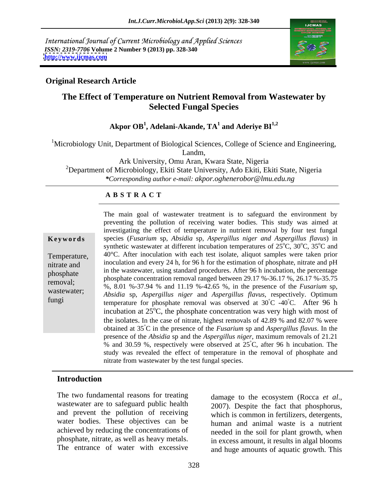International Journal of Current Microbiology and Applied Sciences *ISSN: 2319-7706* **Volume 2 Number 9 (2013) pp. 328-340 <http://www.ijcmas.com>**



#### **Original Research Article**

# **The Effect of Temperature on Nutrient Removal from Wastewater by Selected Fungal Species**

#### $\mathbf{A}$ kpor  $\mathbf{OB}^1$ ,  $\mathbf{A}$ delani- $\mathbf{A}$ kande,  $\mathbf{TA}^1$  and  $\mathbf{A}$ deriye  $\mathbf{BI}^{1,2}$  **and Aderiye BI1,2**

 $1$ Microbiology Unit, Department of Biological Sciences, College of Science and Engineering,

Landm,

Ark University, Omu Aran, Kwara State, Nigeria

<sup>2</sup>Department of Microbiology, Ekiti State University, Ado Ekiti, Ekiti State, Nigeria *\*Corresponding author e-mail: akpor.oghenerobor@lmu.edu.ng*

#### **A B S T R A C T**

| Keywords |  |
|----------|--|
|----------|--|

removal;<br>
%, 8.01 %-37.94 % and 11.19 %-42.65 %, in the presence of the *Fusarium* sp, wastewater; *Absidia sp, Aspergillus niger* and *Aspergillus flavus*, respectively. Optimum **Ke ywo rds** species (*Fusarium* sp, *Absidia* sp, *Aspergillus niger and Aspergillus flavus*) in Temperature, 40°C. After inoculation with each test isolate, aliquot samples were taken prior nitrate and inoculation and every 24 h, for 96 h for the estimation of phosphate, nitrate and pH phosphate in the wastewater, using standard procedures. After 90 if includation, the percentage phosphate concentration removal ranged between 29.17 %-36.17 %, 26.17 %-35.75 fungi temperature for phosphate removal was observed at  $30^{\circ}$ C -40<sup>°</sup>C. After 96 h The main goal of wastewater treatment is to safeguard the environment by preventing the pollution of receiving water bodies. This study was aimed at investigating the effect of temperature in nutrient removal by four test fungal synthetic wastewater at different incubation temperatures of  $25^{\circ}$ C,  $30^{\circ}$ C,  $35^{\circ}$ C and  $^{\circ}C$ , 30 $^{\circ}C$ , 35 $^{\circ}C$  and  $\mathrm{^{\circ}C}$ , 35 $\mathrm{^{\circ}C}$  and <sup>o</sup>C and in the wastewater, using standard procedures. After 96 h incubation, the percentage  $^{\circ}$ C -40 $^{\circ}$ C. After 96 h incubation at  $25^{\circ}$ C, the phosphate concentration was very high with most of the isolates. In the case of nitrate, highest removals of 42.89 % and 82.07 % were obtained at 35 °C in the presence of the *Fusarium* sp and *Aspergillus flavus*. In the presence of the *Absidia* sp and the *Aspergillus niger*, maximum removals of 21.21 % and 30.59 %, respectively were observed at 25 °C, after 96 h incubation. The study was revealed the effect of temperature in the removal of phosphate and nitrate from wastewater by the test fungal species.

## **Introduction**

The two fundamental reasons for treating damage to the ecosystem (Rocca et al., wastewater are to safeguard public health 2007). Despite the fact that phosphorus, and prevent the pollution of receiving water bodies. These objectives can be achieved by reducing the concentrations of phosphate, nitrate, as well as heavy metals.

The entrance of water with excessive and huge amounts of aquatic growth. This damage to the ecosystem (Rocca *et al*., 2007). Despite the fact that phosphorus, which is common in fertilizers, detergents, human and animal waste is a nutrient needed in the soil for plant growth, when in excess amount, it results in algal blooms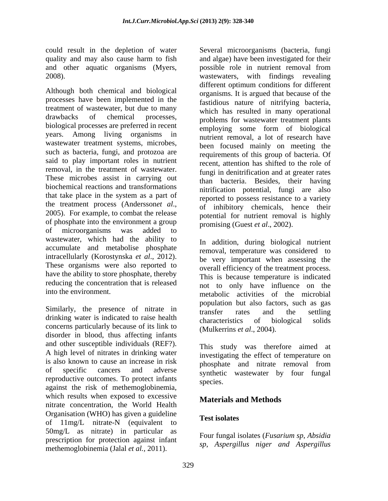and other aquatic organisms (Myers,

Although both chemical and biological processes have been implemented in the treatment of wastewater, but due to many drawbacks of chemical processes, problems for wastewater treatment plants biological processes are preferred in recent years. Among living organisms in wastewater treatment systems, microbes, such as bacteria, fungi, and protozoa are said to play important roles in nutrient removal, in the treatment of wastewater. These microbes assist in carrying out biochemical reactions and transformations that take place in the system as a part of the treatment process (Andersson*et al.*, of inhibitory chemicals, hence their 2005). For example, to combat the release notential for nutrient removal is highly of phosphate into the environment a group<br>of microorganisms was added to of microorganisms was added to wastewater, which had the ability to accumulate and metabolise phosphate intracellularly (Korostynska *et al*., 2012). These organisms were also reported to have the ability to store phosphate, thereby reducing the concentration that is released

Similarly, the presence of nitrate in transfer rates and the settling drinking water is indicated to raise health characteristics of biological solids concerns particularly because of its link to disorder in blood, thus affecting infants and other susceptible individuals (REF?). This study was therefore aimed at<br>A high level of nitrates in drinking water investigating the effect of temperature on is also known to cause an increase in risk<br>phosphate and nitrate removal from of specific cancers and adverse synthetic wastewater by four fungal reproductive outcomes. To protect infants species. against the risk of methemoglobinemia, which results when exposed to excessive **Materials and Methods** nitrate concentration, the World Health Organisation (WHO) has given a guideline Test isolates of 11mg/L nitrate-N (equivalent to **Leaf Boldies** 50mg/L as nitrate) in particular as prescription for protection against infant methemoglobinemia (Jalal *et al.,* 2011).

could result in the depletion of water Several microorganisms (bacteria, fungi quality and may also cause harm to fish and algae) have been investigated for their 2008). wastewaters, with findings revealing possible role in nutrient removal from different optimum conditions for different organisms. It is argued that because of the fastidious nature of nitrifying bacteria, which has resulted in many operational employing some form of biological nutrient removal, a lot of research have been focused mainly on meeting the requirements of this group of bacteria. Of recent, attention has shifted to the role of fungi in denitrification and at greater rates than bacteria. Besides, their having nitrification potential, fungi are also reported to possess resistance to a variety of inhibitory chemicals, hence their potential for nutrient removal is highly promising (Guest *et al*., 2002).

into the environment.<br>
metabolic activities of the microbial In addition, during biological nutrient removal, temperature was considered to be very important when assessing the overall efficiency of the treatment process. This is because temperature is indicated not to only have influence on the population but also factors, such as gas transfer rates and the settling characteristics of biological solids (Mulkerrins *et al*., 2004).

> This study was therefore aimed at investigating the effect of temperature on phosphate and nitrate removal from species.

# **Materials and Methods**

## **Test isolates**

Four fungal isolates (*Fusarium sp*, *Absidia sp*, *Aspergillus niger and Aspergillus*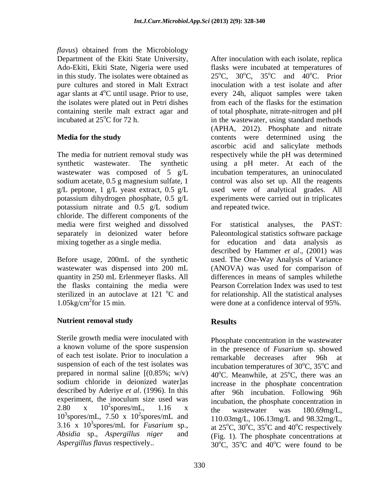*flavus*) obtained from the Microbiology Department of the Ekiti State University, After inoculation with each isolate, replica Ado-Ekiti, Ekiti State, Nigeria were used pure cultures and stored in Malt Extract agar slants at 4°C until usage. Prior to use, incubated at  $25^{\circ}$ C for 72 h.

The media for nutrient removal study was potassium nitrate and 0.5 g/L sodium chloride. The different components of the media were first weighed and dissolved For statistical analyses, the PAST:

quantity in 250 mL Erlenmeyer flasks. All  $1.05\text{kg/cm}^2$  for 15 min.

## **Nutrient removal study**

Sterile growth media were inoculated with a known volume of the spore suspension of each test isolate. Prior to inoculation a remarkable decreases after 96h at suspension of each of the test isolates was prepared in normal saline  $[(0.85\%; w/v)]$ sodium chloride in deionized water]as described by Aderiye *et al*. (1996). In this 2.80 x 10<sup>-</sup>spores/mL, 1.16 x the wastewater was 180.69mg/L,  $10^3$ spores/mL, 7.50 x 10<sup>2</sup>spores/mL and 110.03mg/L 106.13mg/L and 98.32mg/L

in this study. The isolates were obtained as  $25^{\circ}$ C,  $30^{\circ}$ C,  $35^{\circ}$ C and  $40^{\circ}$ C. Prior <sup>o</sup>C until usage. Prior to use, every 24h, aliquot samples were taken the isolates were plated out in Petri dishes from each of the flasks for the estimation containing sterile malt extract agar and of total phosphate, nitrate-nitrogen and pH **Media for the study** contents were determined using the synthetic wastewater. The synthetic using a pH meter. At each of the wastewater was composed of 5 g/L incubation temperatures, an uninoculated sodium acetate, 0.5 g magnesium sulfate, 1 control was also set up. All the reagents  $g/L$  peptone, 1  $g/L$  yeast extract, 0.5  $g/L$  used were of analytical grades. All potassium dihydrogen phosphate, 0.5 g/L experiments were carried out in triplicates **Dependent of the Exit Shate University.** After inoculation with each isolate, equinos<br>
The Distribute of the State Virtuality and the Constrained and the state of the State with the State with the State with the State of flasks were incubated at temperatures of  ${}^{\circ}$ C and  $\overline{40}{}^{\circ}$ C. Prior <sup>o</sup>C. Prior inoculation with a test isolate and after in the wastewater, using standard methods (APHA, 2012). Phosphate and nitrate ascorbic acid and salicylate methods respectively while the pH was determined and repeated twice.

separately in deionized water before Paleontological statistics software package mixing together as a single media. for education and data analysis as Before usage, 200mL of the synthetic used. The One-Way Analysis of Variance wastewater was dispensed into 200 mL (ANOVA) was used for comparison of the flasks containing the media were Pearson Correlation Index was used to test sterilized in an autoclave at 121 °C and for relationship. All the statistical analyses 1.05kg/cm<sup>2</sup>for 15 min. were done at a confidence interval of 95%. For statistical analyses, described by Hammer *et al*., (2001) was differences in means of samples whilethe

# **Results**

experiment, the inoculum size used was encubation the phosphate concentration in 2.80 x  $10^2$ spores/mL, 1.16 x the wastewater was 180.69mg/L  $\frac{2}{2}$  more (m)  $\frac{116}{2}$  y measurem, are prospirate concentration in spores/mL,  $1.16 \times$  the wastewater was  $180.69$  mg/L spores/mL,  $7.50 \times 10^2$  spores/mL and  $110.03$  mg/L,  $106.13$  mg/L and  $98.32$  mg/L, 3.16 x 10<sup>3</sup>spores/mL for *Fusarium* sp., at  $25^{\circ}$ C,  $30^{\circ}$ C,  $35^{\circ}$ C and  $40^{\circ}$ C respectively spores/mL for *Fusarium* sp., at  $25^{\circ}$ C,  $30^{\circ}$ C,  $35^{\circ}$ C and  $40^{\circ}$ C respectively *Absidia* sp., *Aspergillus niger* and (Fig. 1). The phosphate concentrations at Phosphate concentration in the wastewater in the presence of *Fusarium* sp. showed remarkable decreases after 96h at incubation temperatures of  $30^{\circ}$ C,  $35^{\circ}$ C and 40 $^{\circ}$ C. Meanwhile, at 25 $^{\circ}$ C, there was an <sup>o</sup>C, there was an increase in the phosphate concentration after 96h incubation. Following 96h incubation, the phosphate concentration in the wastewater was 180.69mg/L, <sup>o</sup>C and 40<sup>o</sup>C respectively <sup>o</sup>C respectively  $30^{\circ}$ C,  $35^{\circ}$ C and  $40^{\circ}$ C were found to be  $\rm{^{\circ}C}$  and  $\rm{40^{\circ}C}$  were found to be oC were found to be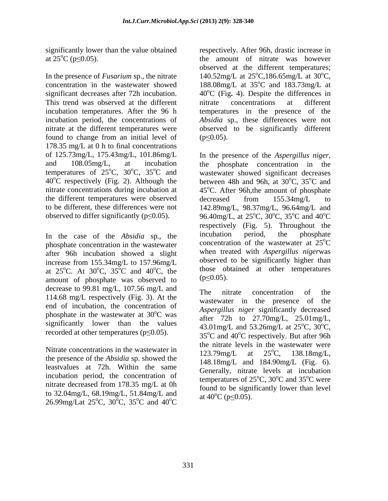In the presence of *Fusarium* sp., the nitrate  $140.52 \text{mg/L}$  at  $25^{\circ}\text{C}$ , 186.65 mg/L at  $30^{\circ}\text{C}$ , concentration in the wastewater showed 188.08mg/L at 35<sup>o</sup>C and 183.73mg/L at significant decreases after 72h incubation. 40°C (Fig. 4). Despite the differences in This trend was observed at the different nitrate concentrations at different incubation temperatures. After the 96 h temperatures in the presence of the incubation period, the concentrations of *Absidia* sp., these differences were not nitrate at the different temperatures were observed to be significantly different found to change from an initial level of  $(p \le 0.05)$ . 178.35 mg/L at 0 h to final concentrations of 125.73mg/L, 175.43mg/L, 101.86mg/L and 108.05mg/L, at incubation the phosphate concentration in the temperatures of  $25^{\circ}$ C,  $30^{\circ}$ C,  $35^{\circ}$ C and wastewater showed significant decreases  $40^{\circ}$ C respectively (Fig. 2). Although the between 48h and 96h, at 30 $^{\circ}$ C, 35 $^{\circ}$ C and nitrate concentrations during incubation at  $45^{\circ}$ C. After 96h, the amount of phosphate the different temperatures were observed decreased from 155.34mg/L to to be different, these differences were not 142.89mg/L, 98.37mg/L, 96.64mg/L and

phosphate concentration in the wastewater after 96h incubation showed a slight increase from 155.34mg/L to 157.96mg/L amount of phosphate was observed to  $(p \le 0.05)$ . decrease to 99.81 mg/L, 107.56 mg/L and<br>The nitrate concentration of the 114.68 mg/L respectively (Fig. 3). At the end of incubation, the concentration of phosphate in the wastewater at 30 significantly lower than the values recorded at other temperatures ( $p \leq 0.05$ ).

Nitrate concentrations in the wastewater in<br> $123.79 \text{mg/L}$  at  $25^{\circ}\text{C}$ .  $138.18 \text{mg/L}$ . the presence of the *Absidia* sp. showed the leastvalues at 72h. Within the same incubation period, the concentration of nitrate decreased from 178.35 mg/L at 0h to 32.04mg/L,  $68.19$ mg/L,  $51.84$ mg/L and<br>at  $40^{\circ}$ C ( $p \le 0.05$ ). 26.99mg/Lat 25<sup>o</sup>C, 30<sup>o</sup>C, 35<sup>o</sup>C and 40<sup>o</sup>C and  $40^{\circ}$ C (p solution).  ${}^{\circ}C$ , 35<sup>o</sup>C and 40<sup>o</sup>C at 40 C (p\solon).

significantly lower than the value obtained respectively. After 96h, drastic increase in at  $25^{\circ}$ C (p $\leq$ 0.05). the amount of nitrate was however observed at the different temperatures;  $\mathrm{^{\circ}C,186.65mg/L}$  at 30 $\mathrm{^{\circ}C,}$  $\mathrm{^0C}$ ,  $\rm{^{\circ}C}$  and 183.73mg/L at nitrate concentrations at different  $(p \le 0.05)$ .

observed to differ significantly ( $p \le 0.05$ ). 96.40mg/L, at 25<sup>o</sup>C, 30<sup>o</sup>C, 35<sup>o</sup>C and 40<sup>o</sup>C In the case of the *Absidia* sp., the incubation period, the phosphate at  $25^{\circ}$ C. At  $30^{\circ}$ C,  $35^{\circ}$ C and  $40^{\circ}$ C, the those obtained at other temperatures  $^{\circ}$ C,  $35^{\circ}$ C and  $40^{\circ}$ C, the those obtained at other temperatures  ${}^{\circ}$ C and 40 ${}^{\circ}$ C, the those obtained at other temperatures In the presence of the *Aspergillus niger*, the phosphate concentration in the  $\mathrm{^{\circ}C}$ , 35 $\mathrm{^{\circ}C}$  and <sup>o</sup>C and decreased from 155.34mg/L to  $\rm{^{\circ}C}$ , 30 $\rm{^{\circ}C}$ , 35 $\rm{^{\circ}C}$  and 40 $\rm{^{\circ}C}$  $\rm ^{o}C$ , 35 $\rm ^{o}C$  and 40 $\rm ^{o}C$  $\rm ^{o}C$  and  $\rm 40^o C$  $\rm ^{o}C$ respectively (Fig. 5). Throughout the incubation period, the phosphate concentration of the wastewater at  $25^{\circ}$ C  $\rm ^{o}C$ when treated with *Aspergillus niger*was observed to be significantly higher than  $(p \le 0.05)$ .

 ${}^{\circ}$ C was a separation of the  $27.70$  molecular and  ${}^{\circ}$ C was a set of  $27.70$  molecular and  $25.01$  molecular and  $\sigma$  $^{\circ}$ C and 40<sup>°</sup>C and 40<sup>°</sup>C and 40<sup>°</sup>C and 40<sup>°</sup>C  $^{0}C$  at 40 C ( $p \le 0.03$ ). The nitrate concentration of the wastewater in the presence of the *Aspergillus niger* significantly decreased after 72h to 27.70mg/L, 25.01mg/L, 43.01mg/L and 53.26mg/L at 25°C, 30°C,  $\mathrm{^{\circ}C}$ ,  $30\mathrm{^{\circ}C}$ ,  $\mathrm{^{0}C},$  $35^{\circ}$ C and  $40^{\circ}$ C respectively. But after 96h <sup>o</sup>C respectively. But after 96h the nitrate levels in the wastewater were  $123.79$ mg/L at  $25^{\circ}$ C,  $138.18$ mg/L,  $^{\circ}C$ , 138.18mg/L, 148.18mg/L and 184.90mg/L (Fig. 6). Generally, nitrate levels at incubation temperatures of  $25^{\circ}$ C,  $30^{\circ}$ C and  $35^{\circ}$ C were  $\rm{^{\circ}C}$ , 30 $\rm{^{\circ}C}$  and 35 $\rm{^{\circ}C}$  were  $\rm{^{\circ}C}$  and 35 $\rm{^{\circ}C}$  were <sup>o</sup>C were found to be significantly lower than level at  $40^{\circ}$ C (p $\leq 0.05$ ).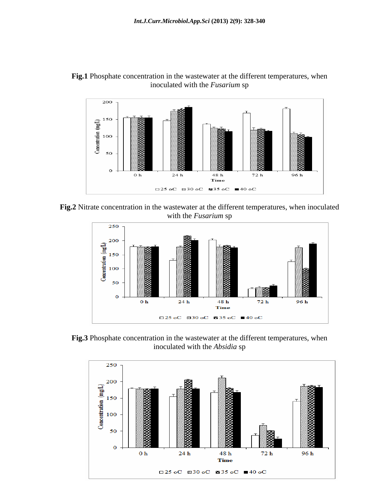



**Fig.2** Nitrate concentration in the wastewater at the different temperatures, when inoculated with the *Fusarium* sp



**Fig.3** Phosphate concentration in the wastewater at the different temperatures, when inoculated with the *Absidia* sp

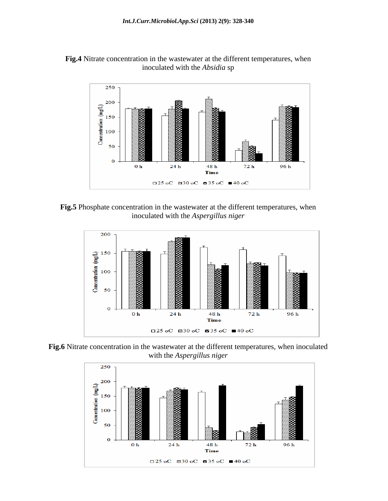



**Fig.5** Phosphate concentration in the wastewater at the different temperatures, when inoculated with the *Aspergillus niger*



**Fig.6** Nitrate concentration in the wastewater at the different temperatures, when inoculated with the *Aspergillus niger*

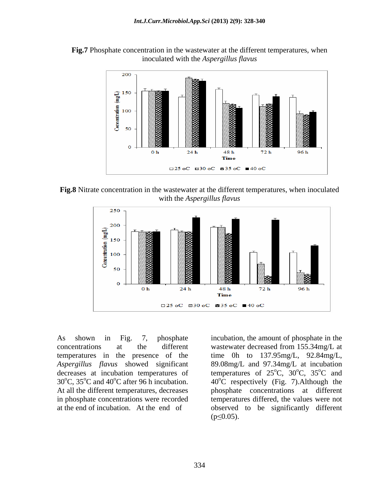**Fig.7** Phosphate concentration in the wastewater at the different temperatures, when inoculated with the *Aspergillus flavus*



**Fig.8** Nitrate concentration in the wastewater at the different temperatures, when inoculated with the *Aspergillus flavus*



As shown in Fig. 7, phosphate incubation, the amount of phosphate in the *Aspergillus flavus* showed significant decreases at incubation temperatures of 30 $^{\circ}$ C, 35 $^{\circ}$ C and 40 $^{\circ}$ C after 96 h incubation.

concentrations at the different wastewater decreased from 155.34mg/L at temperatures in the presence of the time 0h to 137.95mg/L, 92.84mg/L, At all the different temperatures, decreases phosphate concentrations at different in phosphate concentrations were recorded temperatures differed, the values were not at the end of incubation. At the end of observed to be significantly different 89.08mg/L and 97.34mg/L at incubation temperatures of  $25^{\circ}$ C,  $30^{\circ}$ C,  $35^{\circ}$ C and  $\mathrm{^{\circ}C}$ ,  $\mathrm{30^{\circ}C}$ ,  $\mathrm{35^{\circ}C}$  and  $\mathrm{^{\circ}C}$ , 35 $\mathrm{^{\circ}C}$  and  $^{\circ}$ C and  $40^{\circ}$ C respectively (Fig. 7). Although the  $(p \le 0.05)$ .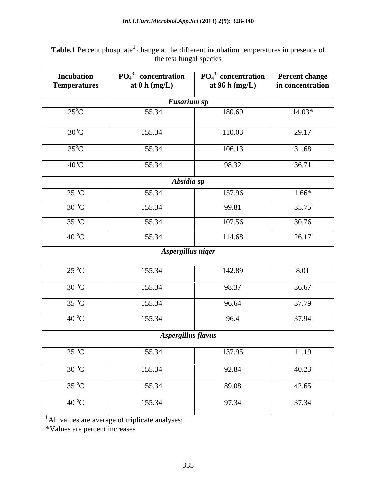#### **Table.1** Percent phosphate<sup>1</sup> change at the different incubation temperatures in presence of the test fungal species

| <b>Incubation</b><br><b>Temperatures</b> | $\overline{PO_4}^3$ concentration<br>at $0 h (mg/L)$ | $\overline{PO_4}^3$ -concentration<br>at 96 h (mg/L) | Percent change<br>in concentration |
|------------------------------------------|------------------------------------------------------|------------------------------------------------------|------------------------------------|
|                                          | <b>Fusarium sp</b>                                   |                                                      |                                    |
| $25^{\circ}$ C                           | 155.34                                               | 180.69                                               | $14.03*$                           |
|                                          |                                                      |                                                      |                                    |
| $30^{\circ}$ C                           | 155.34                                               | 110.03                                               | 29.17                              |
| $35^{\circ}$ C                           | 155.34                                               | 106.13                                               | 31.68                              |
| $40^{\circ}$ C                           | 155.34                                               | 98.32                                                | 36.71                              |
|                                          | Absidia sp                                           |                                                      |                                    |
| $25^{\circ}C$                            | 155.34                                               | 157.96                                               | $1.66*$                            |
| $30^{\circ}$ C                           | 155.34                                               | 99.81                                                | 35.75                              |
| $35^{\circ}C$                            | 155.34                                               | 107.56                                               | 30.76                              |
| $40^{\circ}$ C                           | 155.34                                               | 114.68                                               | 26.17                              |
|                                          | Aspergillus niger                                    |                                                      |                                    |
|                                          |                                                      |                                                      |                                    |
| $25^{\circ}C$                            | 155.34                                               | 142.89                                               | 8.01                               |
| $30^{\circ}$ C                           | 155.34                                               | 98.37                                                | 36.67                              |
| $35\text{ °C}$                           | 155.34                                               | 96.64                                                | 37.79                              |
| $40^{\circ}$ C                           | 155.34                                               | 96.4                                                 | 37.94                              |
|                                          | Aspergillus flavus                                   |                                                      |                                    |
|                                          |                                                      |                                                      |                                    |
| $25^{\circ}C$                            | 155.34                                               | 137.95                                               | 11.19                              |
| $30\,^{\circ}\text{C}$                   | 155.34                                               | 92.84                                                | 40.23                              |
| $35\text{ °C}$                           | 155.34                                               | 89.08                                                | 42.65                              |
| $40^{\circ}$ C                           | 155.34                                               | 97.34                                                | 37.34                              |

<sup>1</sup>All values are average of triplicate analyses;

\*Values are percent increases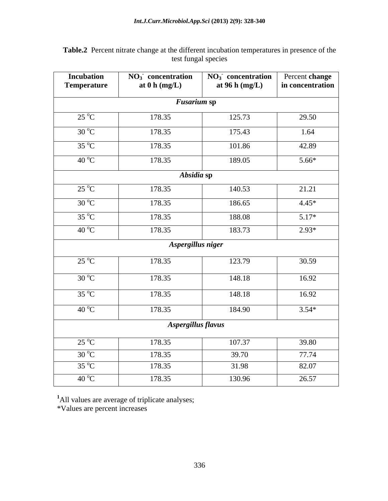| <b>Incubation</b><br><b>Temperature</b> | $NO3$ concentration<br>at $0 \text{ h (mg/L)}$ | $NO3$ concentration Percent change<br>at $96 h$ (mg/L) | in concentration |
|-----------------------------------------|------------------------------------------------|--------------------------------------------------------|------------------|
|                                         | <b>Fusarium sp</b>                             |                                                        |                  |
| $25^{\circ}C$                           | 178.35                                         | 125.73                                                 | 29.50            |
| $30^{\circ}C$                           | 178.35                                         | 175.43                                                 | 1.64             |
| $35^{\circ}C$                           | 178.35                                         | 101.86                                                 | 42.89            |
| $40^{\circ}$ C                          | 178.35                                         | 189.05                                                 | $5.66*$          |
|                                         | Absidia sp                                     |                                                        |                  |
| $25^{\circ}C$                           | 178.35                                         | 140.53                                                 | 21.21            |
| $30^{\circ}$ C                          | 178.35                                         | 186.65                                                 | $4.45*$          |
| $35\,^{\circ}\mathrm{C}$                | 178.35                                         | 188.08                                                 | $5.17*$          |
| $40^{\circ}$ C                          | 178.35                                         | 183.73                                                 | $2.93*$          |
|                                         | Aspergillus niger                              |                                                        |                  |
| $25^{\circ}$ C                          | 178.35                                         | 123.79                                                 | 30.59            |
| $30^{\circ}C$                           | 178.35                                         | 148.18                                                 | 16.92            |
| $35^{\circ}$ C                          | 178.35                                         | 148.18                                                 | 16.92            |
| $40^{\circ}$ C                          | 178.35                                         | 184.90                                                 | $3.54*$          |
|                                         | Aspergillus flavus                             |                                                        |                  |
| $25^{\circ}C$                           | 178.35                                         | 107.37                                                 | 39.80            |
| $30^{\circ}$ C                          | 178.35                                         | 39.70                                                  | 77.74            |
| $35\,^{\circ}\mathrm{C}$                | 178.35                                         | 31.98                                                  | 82.07            |
| $40^{\circ}$ C                          | 178.35                                         | 130.96                                                 | 26.57            |

**Table.2** Percent nitrate change at the different incubation temperatures in presence of the test fungal species

**-**

<sup>1</sup>All values are average of triplicate analyses;

\*Values are percent increases

j.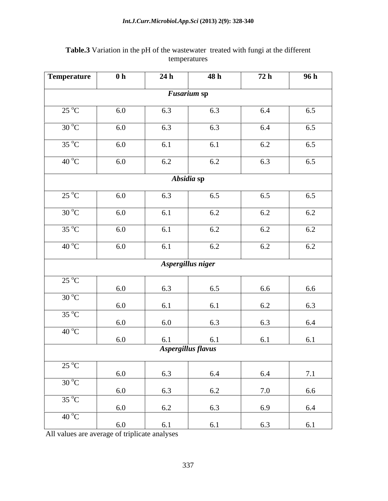| Temperature              | 0 <sub>h</sub> | 24 h                      | 48 h | 72 h | 96 h |
|--------------------------|----------------|---------------------------|------|------|------|
|                          |                | $\overline{F}$ usarium sp |      |      |      |
| $25\text{ °C}$           | 6.0            | 6.3                       | 6.3  | 6.4  | 6.5  |
| $30\,^{\circ}\mathrm{C}$ | 6.0            | 6.3                       | 6.3  | 6.4  | 6.5  |
| $35^{\circ}C$            | 6.0            | 6.1                       | 6.1  | 6.2  | 6.5  |
| 40 °C                    | 6.0            | 6.2                       | 6.2  | 6.3  | 6.5  |
|                          |                | Absidia sp                |      |      |      |
|                          |                |                           |      |      |      |
| $25\,^{\circ}\mathrm{C}$ | 6.0            | 6.3                       | 6.5  | 6.5  | 6.5  |
| $30^{\circ}$ C           | 6.0            | 6.1                       | 6.2  | 6.2  | 6.2  |
| $35\text{ °C}$           | 6.0            | 6.1                       | 6.2  | 6.2  | 6.2  |
| $40^{\circ}$ C           | 6.0            | 6.1                       | 6.2  | 6.2  | 6.2  |
|                          |                |                           |      |      |      |
|                          |                | Aspergillus niger         |      |      |      |
| $25^{\circ}$ C           | 6.0            | 6.3                       | 6.5  | 6.6  | 6.6  |
| $30^{\circ}C$            | 6.0            |                           | 6.1  |      | 6.3  |
| $35^{\circ}$ C           |                | 6.1                       |      | 6.2  |      |
| $40^{\circ}$ C           | 6.0            | 6.0                       | 6.3  | 6.3  | 6.4  |
|                          | 6.0            | 6.1                       | 6.1  | 6.1  | 6.1  |
|                          |                | Aspergillus flavus        |      |      |      |
| $25\text{ °C}$           | 6.0            | 6.3                       | 6.4  | 6.4  | 7.1  |
| $30^{\circ}$ C           |                |                           |      |      |      |
| $35^{\circ}C$            | 6.0            | 6.3                       | 6.2  | 7.0  | 6.6  |
|                          | 6.0            | 6.2                       | 6.3  | 6.9  | 6.4  |
| 40 °C                    | 6.0            | 6.1                       | 6.1  | 6.3  | 6.1  |

## **Table.3** Variation in the pH of the wastewater treated with fungi at the different temperatures

All values are average of triplicate analyses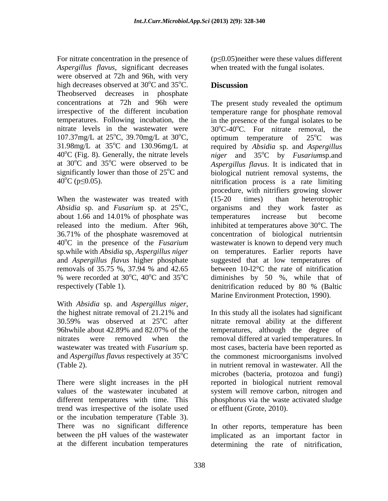For nitrate concentration in the presence of *Aspergillus flavus*, significant decreases were observed at 72h and 96h, with very high decreases observed at  $30^{\circ}$ C and  $35^{\circ}$ C. **Discussion**  $\rm ^{o}C$  and 35 $\rm ^{o}C$ . **Discussion** Theobserved decreases in phosphate concentrations at 72h and 96h were The present study revealed the optimum 107.37mg/L at  $25^{\circ}$ C, 39.70mg/L at  $30^{\circ}$ C, optimum temperature of  $25^{\circ}$ C was

When the wastewater was treated with (15-20 times) than heterotrophic 36.71% of the phosphate wasremoved at 40oC in the presence of the *Fusarium*  respectively (Table 1). denitrification reduced by 80 % (Baltic

With *Absidia* sp. and *Aspergillus niger*,<br>the highest nitrate removal of 21.21% and In this study all the isolates had significant 30.59% was observed at  $25^{\circ}$ C after initrate removal ability at the different 96hwhile about 42.89% and 82.07% of the temperatures, although the degree of nitrates were removed when the removal differed at varied temperatures. In wastewater was treated with *Fusarium* sp. most cases, bacteria have been reported as and *Aspergillus flavus* respectively at  $35^{\circ}\text{C}$  the commonest microorganisms involved

There were slight increases in the pH reported in biological nutrient removal values of the wastewater incubated at system will remove carbon, nitrogen and different temperatures with time. This phosphorus via the waste activated sludge trend was irrespective of the isolate used or the incubation temperature (Table 3). There was no significant difference In other reports, temperature has been between the pH values of the wastewater implicated as an important factor in

 $(p \le 0.05)$ neither were these values different when treated with the fungal isolates.

#### <sup>o</sup>C. **Discussion Discussion**

irrespective of the different incubation temperature range for phosphate removal temperatures. Following incubation, the in the presence of the fungal isolates to be nitrate levels in the wastewater were  $30^{\circ}$ C-40<sup>o</sup>C. For nitrate removal, the  $^{\circ}$ C, 39.70mg/L at 30 $^{\circ}$ C, optimum temperature of 25 $^{\circ}$ C was optimum temperature of 31.98mg/L at 35°C and 130.96mg/L at required by *Absidia* sp. and *Aspergillus*  $40^{\circ}$ C (Fig. 8). Generally, the nitrate levels *niger* and  $35^{\circ}$ C by *Fusariumsp.and* at  $30^{\circ}$ C and  $35^{\circ}$ C were observed to be Aspergillus *flavus*. It is indicated that in significantly lower than those of  $25^{\circ}$ C and biological nutrient removal systems, the  $40^{\circ}$ C (p $\leq$ 0.05). nitrification process is a rate limiting *Absidia* sp. and *Fusarium* sp. at  $25^{\circ}$ C, organisms and they work faster as about 1.66 and 14.01% of phosphate was released into the medium. After 96h, inhibited at temperatures above 30°C. The sp.while with *Absidia* sp, *Aspergillus niger*  on temperatures. Earlier reports have and *Aspergillus flavus* higher phosphate suggested that at low temperatures of removals of 35.75 %, 37.94 % and 42.65 between  $10$ -l2<sup>o</sup>C the rate of nitrification % were recorded at  $30^{\circ}$ C,  $40^{\circ}$ C and  $35^{\circ}$ C diminishes by 50 %, while that of The present study revealed the optimum optimum temperature of  $25^{\circ}$ C was  $^{\circ}$ C was oC by *Fusarium*sp.and procedure, with nitrifiers growing slower (15-20 times) than heterotrophic temperatures increase but become concentration of biological nutrientsin wastewater is known to depend very much between 10-l2°C the rate of nitrification denitrification reduced by 80 % (Baltic Marine Environment Protection, 1990).

(Table 2). in nutrient removal in wastewater. All the In this study all the isolates had significant microbes (bacteria, protozoa and fungi) or effluent (Grote, 2010).

at the different incubation temperatures determining the rate of nitrification,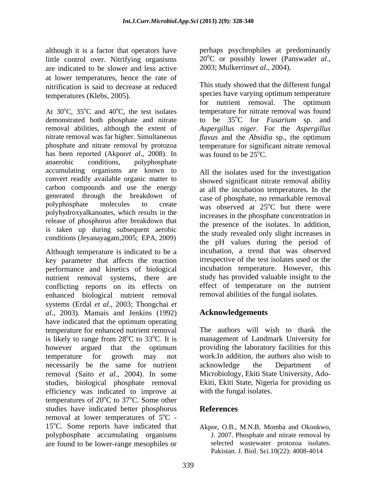although it is a factor that operators have little control over. Nitrifying organisms  $20^{\circ}$ C or possibly lower (Panswadet al., are indicated to be slower and less active  $2003$ ; Mulkerrinset al., 2004). are indicated to be slower and less active at lower temperatures, hence the rate of nitrification is said to decrease at reduced

At  $30^{\circ}$ C,  $35^{\circ}$ C and  $40^{\circ}$ C, the test isolates demonstrated both phosphate and nitrate to be  $35^{\circ}$ C for *Fusarium* sp. and removal abilities, although the extent of *Aspergillus niger*. For the *Aspergillus* nitrate removal was far higher. Simultaneous *flavus* and the *Absidia* sp., the optimum phosphate and nitrate removal by protozoa temperature for significant nitrate removal has been reported (Akporet *al.*, 2008). In anaerobic conditions, polyphosphate accumulating organisms are known to convert readily available organic matter to carbon compounds and use the energy generated through the breakdown of polyphosphate molecules to create was observed at 25<sup>o</sup>C but there were polyhydroxyalkanoates, which results in the release of phosphorus after breakdown that is taken up during subsequent aerobic conditions (Jeyanayagam,2005; EPA, 2009)

Although temperature is indicated to be a key parameter that affects the reaction performance and kinetics of biological nutrient removal systems, there are conflicting reports on its effects on enhanced biological nutrient removal systems (Erdal *et al*., 2003; Thongchai *et al*., 2003). Mamais and Jenkins (1992) have indicated that the optimum operating temperature for enhanced nutrient removal The authors will wish to thank the is likely to range from  $28^{\circ}$ C to  $33^{\circ}$ C. It is however argued that the optimum providing the laboratory facilities for this temperature for growth may not work.In addition, the authors also wish to necessarily be the same for nutrient acknowledge the Department of removal (Saito *et al.,* 2004). In some Microbiology, Ekiti State University, Ado studies, biological phosphate removal efficiency was indicated to improve at temperatures of  $20^{\circ}$ C to 37<sup>o</sup>C. Some other <sup>o</sup>C to 37<sup>o</sup>C. Some other <sup>o</sup>C. Some other studies have indicated better phosphorus References removal at lower temperatures of  $5^{\circ}$ C - $\rm ^{o}C$  -15<sup>o</sup>C. Some reports have indicated that polyphosphate accumulating organisms are found to be lower-range mesophiles or

perhaps psychrophiles at predominantly 20<sup>o</sup>C or possibly lower (Panswad*et al.*, 2003; Mulkerrins*et al.*, 2004).

temperatures (Klebs, 2005). species have varying optimum temperature  $^{\circ}$ C, 35 $^{\circ}$ C and 40 $^{\circ}$ C, the test isolates temperature for nitrate removal was found This study showed that the different fungal for nutrient removal. The optimum oC for *Fusarium* sp. and was found to be  $25^{\circ}$ C.

> All the isolates used for the investigation showed significant nitrate removal ability at all the incubation temperatures. In the case of phosphate, no remarkable removal  $\rm ^{o}C$  but there were increases in the phosphate concentration in the presence of the isolates. In addition, the study revealed only slight increases in the pH values during the period of incubation, a trend that was observed irrespective of the test isolates used or the incubation temperature. However, this study has provided valuable insight to the effect of temperature on the nutrient removal abilities of the fungal isolates.

# **Acknowledgements**

<sup>o</sup>C to 33<sup>o</sup>C. It is management of Landmark University for providing the laboratory facilities for this acknowledge the Department of Ekiti, Ekiti State, Nigeria for providing us with the fungal isolates.

## **References**

Akpor, O.B., M.N.B. Momba and Okonkwo, J. 2007. Phosphate and nitrate removal by selected wastewater protozoa isolates. Pakistan. J. Biol. Sci.10(22): 4008-4014